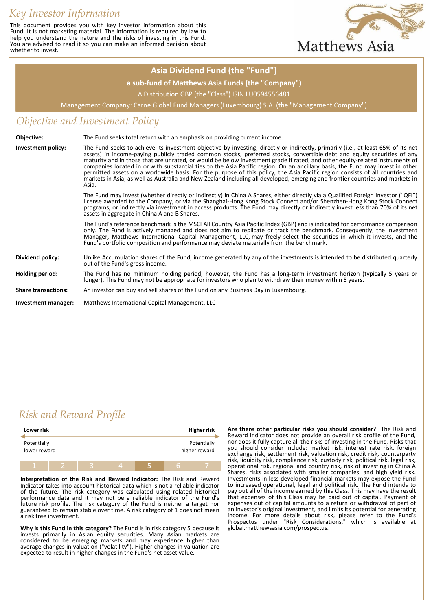# *Key Investor Information*

This document provides you with key investor information about this Fund. It is not marketing material. The information is required by law to help you understand the nature and the risks of investing in this Fund. You are advised to read it so you can make an informed decision about whether to invest.



### **Asia Dividend Fund (the "Fund")**

#### **a sub-fund of Matthews Asia Funds (the "Company")**

A Distribution GBP (the "Class") ISIN LU0594556481

Management Company: Carne Global Fund Managers (Luxembourg) S.A. (the "Management Company")

### *Objective and Investment Policy*

| Objective:                 | The Fund seeks total return with an emphasis on providing current income.                                                                                                                                                                                                                                                                                                                                                                                                                                                                                                                                                                                                                                                                                                                               |
|----------------------------|---------------------------------------------------------------------------------------------------------------------------------------------------------------------------------------------------------------------------------------------------------------------------------------------------------------------------------------------------------------------------------------------------------------------------------------------------------------------------------------------------------------------------------------------------------------------------------------------------------------------------------------------------------------------------------------------------------------------------------------------------------------------------------------------------------|
| <b>Investment policy:</b>  | The Fund seeks to achieve its investment objective by investing, directly or indirectly, primarily (i.e., at least 65% of its net<br>assets) in income-paying publicly traded common stocks, preferred stocks, convertible debt and equity securities of any<br>maturity and in those that are unrated, or would be below investment grade if rated, and other equity-related instruments of<br>companies located in or with substantial ties to the Asia Pacific region. On an ancillary basis, the Fund may invest in other<br>permitted assets on a worldwide basis. For the purpose of this policy, the Asia Pacific region consists of all countries and<br>markets in Asia, as well as Australia and New Zealand including all developed, emerging and frontier countries and markets in<br>Asia. |
|                            | The Fund may invest (whether directly or indirectly) in China A Shares, either directly via a Qualified Foreign Investor ("QFI")<br>license awarded to the Company, or via the Shanghai-Hong Kong Stock Connect and/or Shenzhen-Hong Kong Stock Connect<br>programs, or indirectly via investment in access products. The Fund may directly or indirectly invest less than 70% of its net<br>assets in aggregate in China A and B Shares.                                                                                                                                                                                                                                                                                                                                                               |
|                            | The Fund's reference benchmark is the MSCI All Country Asia Pacific Index (GBP) and is indicated for performance comparison<br>only. The Fund is actively managed and does not aim to replicate or track the benchmark. Consequently, the Investment<br>Manager, Matthews International Capital Management, LLC, may freely select the securities in which it invests, and the<br>Fund's portfolio composition and performance may deviate materially from the benchmark.                                                                                                                                                                                                                                                                                                                               |
| Dividend policy:           | Unlike Accumulation shares of the Fund, income generated by any of the investments is intended to be distributed quarterly<br>out of the Fund's gross income.                                                                                                                                                                                                                                                                                                                                                                                                                                                                                                                                                                                                                                           |
| Holding period:            | The Fund has no minimum holding period, however, the Fund has a long-term investment horizon (typically 5 years or<br>longer). This Fund may not be appropriate for investors who plan to withdraw their money within 5 years.                                                                                                                                                                                                                                                                                                                                                                                                                                                                                                                                                                          |
| <b>Share transactions:</b> | An investor can buy and sell shares of the Fund on any Business Day in Luxembourg.                                                                                                                                                                                                                                                                                                                                                                                                                                                                                                                                                                                                                                                                                                                      |
| Investment manager:        | Matthews International Capital Management, LLC                                                                                                                                                                                                                                                                                                                                                                                                                                                                                                                                                                                                                                                                                                                                                          |

## *Risk and Reward Profile*

| Lower risk                  |  |   |   | <b>Higher risk</b>           |
|-----------------------------|--|---|---|------------------------------|
| Potentially<br>lower reward |  |   |   | Potentially<br>higher reward |
|                             |  | z | b |                              |

**Interpretation of the Risk and Reward Indicator:** The Risk and Reward Indicator takes into account historical data which is not a reliable indicator of the future. The risk category was calculated using related historical performance data and it may not be a reliable indicator of the Fund's future risk profile. The risk category of the Fund is neither a target nor guaranteed to remain stable over time. A risk category of 1 does not mean a risk free investment.

**Why is this Fund in this category?** The Fund is in risk category 5 because it invests primarily in Asian equity securities. Many Asian markets are considered to be emerging markets and may experience higher than average changes in valuation ("volatility"). Higher changes in valuation are expected to result in higher changes in the Fund's net asset value.

**Are there other particular risks you should consider?** The Risk and Reward Indicator does not provide an overall risk profile of the Fund, nor does it fully capture all the risks of investing in the Fund. Risks that you should consider include: market risk, interest rate risk, foreign exchange risk, settlement risk, valuation risk, credit risk, counterparty risk, liquidity risk, compliance risk, custody risk, political risk, legal risk, operational risk, regional and country risk, risk of investing in China A Shares, risks associated with smaller companies, and high yield risk. Investments in less developed financial markets may expose the Fund to increased operational, legal and political risk. The Fund intends to pay out all of the income earned by this Class. This may have the result that expenses of this Class may be paid out of capital. Payment of expenses out of capital amounts to a return or withdrawal of part of an investor's original investment, and limits its potential for generating income. For more details about risk, please refer to the Fund's Prospectus under "Risk Considerations," which is available at global.matthewsasia.com/prospectus.